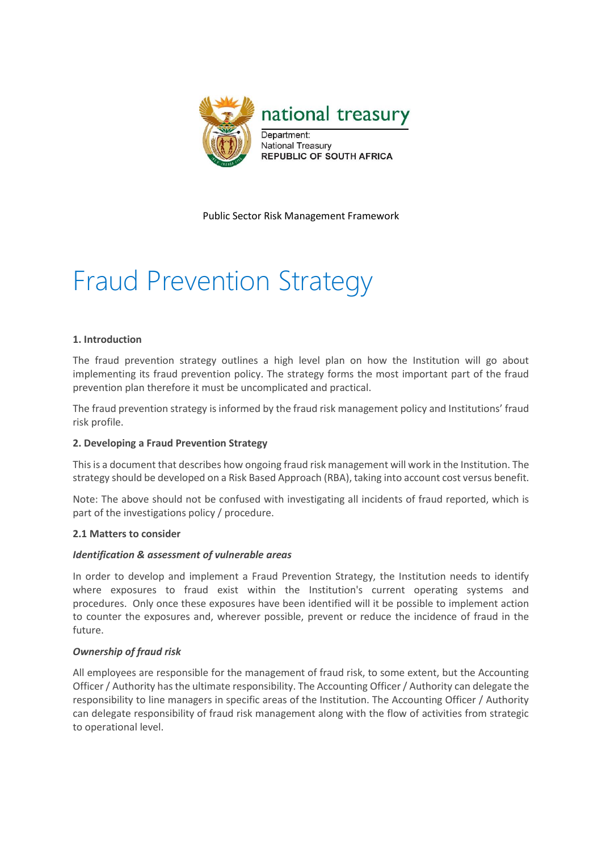

Public Sector Risk Management Framework

# Fraud Prevention Strategy

## **1. Introduction**

The fraud prevention strategy outlines a high level plan on how the Institution will go about implementing its fraud prevention policy. The strategy forms the most important part of the fraud prevention plan therefore it must be uncomplicated and practical.

The fraud prevention strategy is informed by the fraud risk management policy and Institutions' fraud risk profile.

## **2. Developing a Fraud Prevention Strategy**

This is a document that describes how ongoing fraud risk management will work in the Institution. The strategy should be developed on a Risk Based Approach (RBA), taking into account cost versus benefit.

Note: The above should not be confused with investigating all incidents of fraud reported, which is part of the investigations policy / procedure.

## **2.1 Matters to consider**

## *Identification & assessment of vulnerable areas*

In order to develop and implement a Fraud Prevention Strategy, the Institution needs to identify where exposures to fraud exist within the Institution's current operating systems and procedures. Only once these exposures have been identified will it be possible to implement action to counter the exposures and, wherever possible, prevent or reduce the incidence of fraud in the future.

## *Ownership of fraud risk*

All employees are responsible for the management of fraud risk, to some extent, but the Accounting Officer / Authority has the ultimate responsibility. The Accounting Officer / Authority can delegate the responsibility to line managers in specific areas of the Institution. The Accounting Officer / Authority can delegate responsibility of fraud risk management along with the flow of activities from strategic to operational level.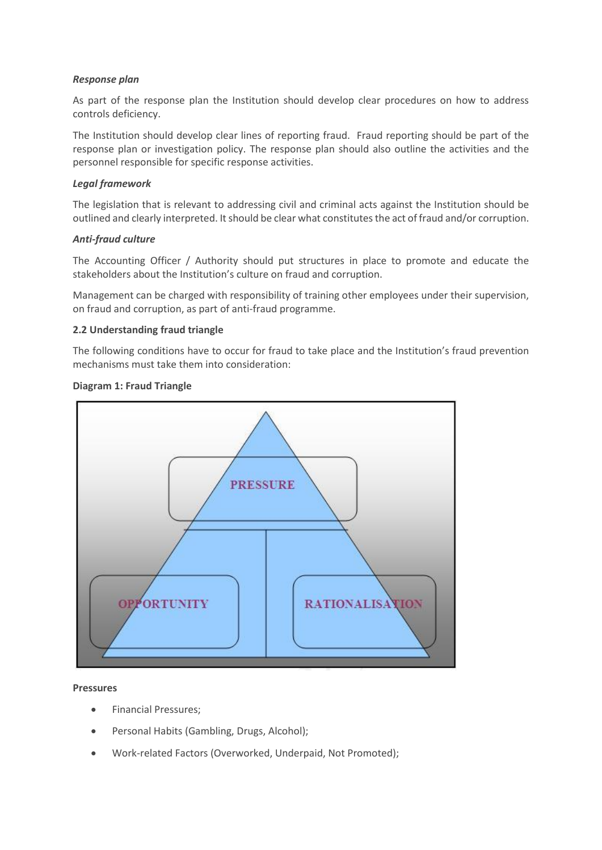# *Response plan*

As part of the response plan the Institution should develop clear procedures on how to address controls deficiency.

The Institution should develop clear lines of reporting fraud. Fraud reporting should be part of the response plan or investigation policy. The response plan should also outline the activities and the personnel responsible for specific response activities.

## *Legal framework*

The legislation that is relevant to addressing civil and criminal acts against the Institution should be outlined and clearly interpreted. It should be clear what constitutes the act of fraud and/or corruption.

# *Anti-fraud culture*

The Accounting Officer / Authority should put structures in place to promote and educate the stakeholders about the Institution's culture on fraud and corruption.

Management can be charged with responsibility of training other employees under their supervision, on fraud and corruption, as part of anti-fraud programme.

# **2.2 Understanding fraud triangle**

The following conditions have to occur for fraud to take place and the Institution's fraud prevention mechanisms must take them into consideration:

# **Diagram 1: Fraud Triangle**



## **Pressures**

- **•** Financial Pressures;
- Personal Habits (Gambling, Drugs, Alcohol);
- Work-related Factors (Overworked, Underpaid, Not Promoted);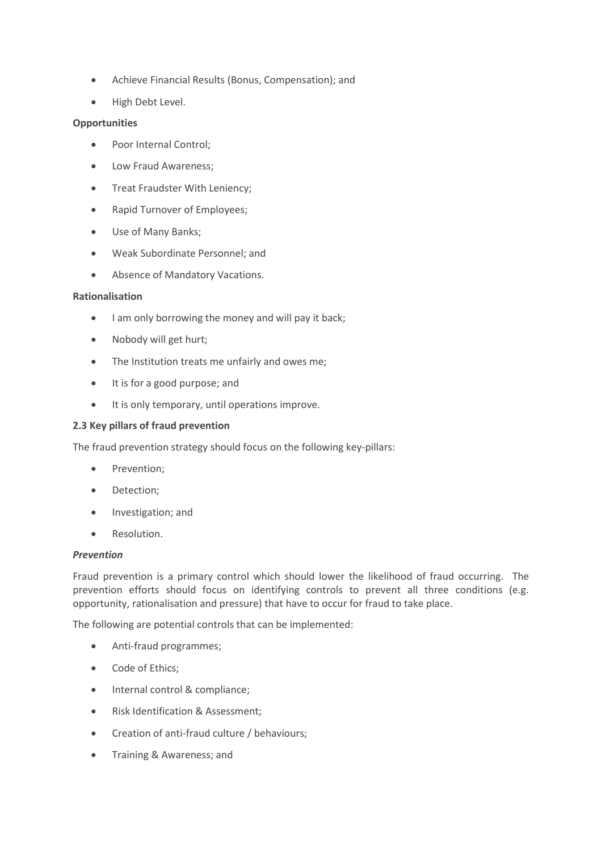- Achieve Financial Results (Bonus, Compensation); and
- High Debt Level.

## **Opportunities**

- Poor Internal Control:
- Low Fraud Awareness;
- Treat Fraudster With Leniency;
- Rapid Turnover of Employees;
- Use of Many Banks;
- Weak Subordinate Personnel; and
- Absence of Mandatory Vacations.

#### **Rationalisation**

- I am only borrowing the money and will pay it back;
- Nobody will get hurt;
- The Institution treats me unfairly and owes me;
- It is for a good purpose; and
- $\bullet$  It is only temporary, until operations improve.

## **2.3 Key pillars of fraud prevention**

The fraud prevention strategy should focus on the following key-pillars:

- Prevention;
- Detection;
- Investigation; and
- Resolution.

#### *Prevention*

Fraud prevention is a primary control which should lower the likelihood of fraud occurring. The prevention efforts should focus on identifying controls to prevent all three conditions (e.g. opportunity, rationalisation and pressure) that have to occur for fraud to take place.

The following are potential controls that can be implemented:

- Anti-fraud programmes;
- Code of Ethics;
- Internal control & compliance;
- Risk Identification & Assessment;
- Creation of anti-fraud culture / behaviours;
- Training & Awareness; and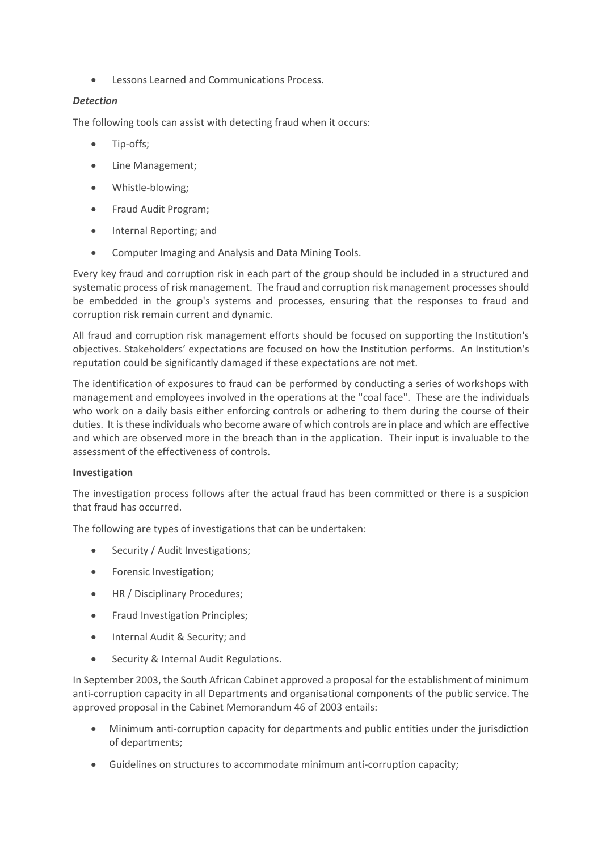Lessons Learned and Communications Process.

# *Detection*

The following tools can assist with detecting fraud when it occurs:

- Tip-offs;
- Line Management;
- Whistle-blowing;
- Fraud Audit Program:
- Internal Reporting; and
- Computer Imaging and Analysis and Data Mining Tools.

Every key fraud and corruption risk in each part of the group should be included in a structured and systematic process of risk management. The fraud and corruption risk management processes should be embedded in the group's systems and processes, ensuring that the responses to fraud and corruption risk remain current and dynamic.

All fraud and corruption risk management efforts should be focused on supporting the Institution's objectives. Stakeholders' expectations are focused on how the Institution performs. An Institution's reputation could be significantly damaged if these expectations are not met.

The identification of exposures to fraud can be performed by conducting a series of workshops with management and employees involved in the operations at the "coal face". These are the individuals who work on a daily basis either enforcing controls or adhering to them during the course of their duties. It is these individuals who become aware of which controls are in place and which are effective and which are observed more in the breach than in the application. Their input is invaluable to the assessment of the effectiveness of controls.

## **Investigation**

The investigation process follows after the actual fraud has been committed or there is a suspicion that fraud has occurred.

The following are types of investigations that can be undertaken:

- Security / Audit Investigations;
- Forensic Investigation;
- HR / Disciplinary Procedures:
- Fraud Investigation Principles;
- Internal Audit & Security; and
- **•** Security & Internal Audit Regulations.

In September 2003, the South African Cabinet approved a proposal for the establishment of minimum anti-corruption capacity in all Departments and organisational components of the public service. The approved proposal in the Cabinet Memorandum 46 of 2003 entails:

- Minimum anti-corruption capacity for departments and public entities under the jurisdiction of departments;
- Guidelines on structures to accommodate minimum anti-corruption capacity;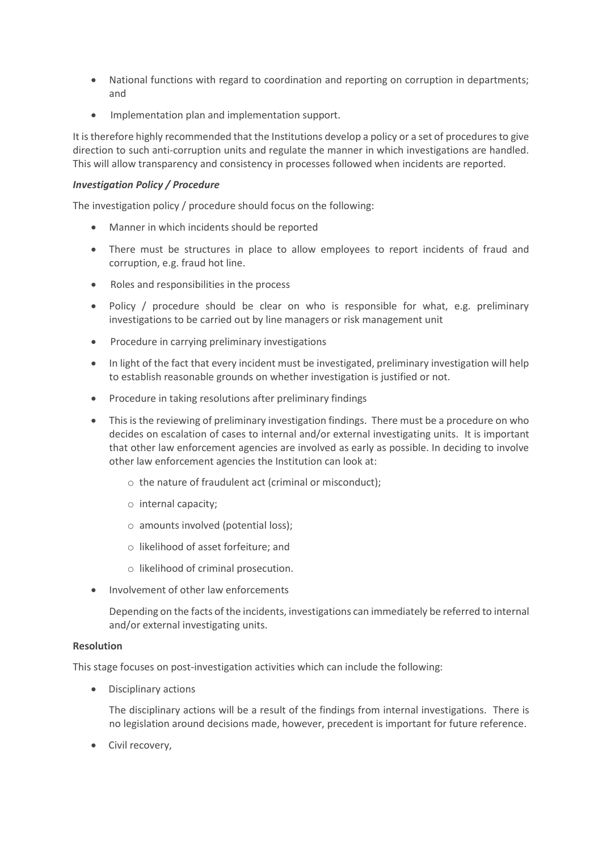- National functions with regard to coordination and reporting on corruption in departments; and
- Implementation plan and implementation support.

It is therefore highly recommended that the Institutions develop a policy or a set of procedures to give direction to such anti-corruption units and regulate the manner in which investigations are handled. This will allow transparency and consistency in processes followed when incidents are reported.

## *Investigation Policy / Procedure*

The investigation policy / procedure should focus on the following:

- Manner in which incidents should be reported
- There must be structures in place to allow employees to report incidents of fraud and corruption, e.g. fraud hot line.
- Roles and responsibilities in the process
- Policy / procedure should be clear on who is responsible for what, e.g. preliminary investigations to be carried out by line managers or risk management unit
- Procedure in carrying preliminary investigations
- In light of the fact that every incident must be investigated, preliminary investigation will help to establish reasonable grounds on whether investigation is justified or not.
- Procedure in taking resolutions after preliminary findings
- This is the reviewing of preliminary investigation findings. There must be a procedure on who decides on escalation of cases to internal and/or external investigating units. It is important that other law enforcement agencies are involved as early as possible. In deciding to involve other law enforcement agencies the Institution can look at:
	- o the nature of fraudulent act (criminal or misconduct);
	- o internal capacity;
	- o amounts involved (potential loss);
	- o likelihood of asset forfeiture; and
	- o likelihood of criminal prosecution.
- Involvement of other law enforcements

Depending on the facts of the incidents, investigations can immediately be referred to internal and/or external investigating units.

## **Resolution**

This stage focuses on post-investigation activities which can include the following:

Disciplinary actions

The disciplinary actions will be a result of the findings from internal investigations. There is no legislation around decisions made, however, precedent is important for future reference.

• Civil recovery,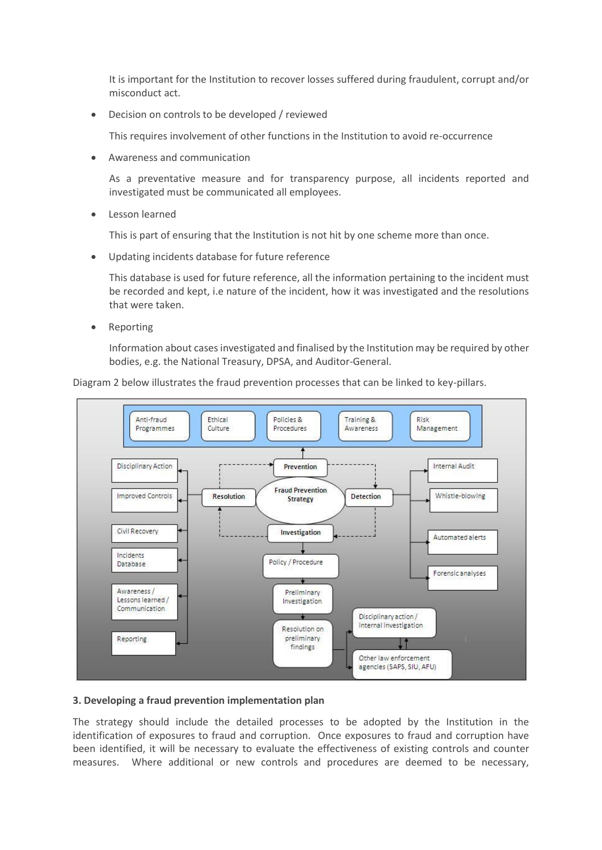It is important for the Institution to recover losses suffered during fraudulent, corrupt and/or misconduct act.

Decision on controls to be developed / reviewed

This requires involvement of other functions in the Institution to avoid re-occurrence

Awareness and communication

As a preventative measure and for transparency purpose, all incidents reported and investigated must be communicated all employees.

Lesson learned

This is part of ensuring that the Institution is not hit by one scheme more than once.

Updating incidents database for future reference

This database is used for future reference, all the information pertaining to the incident must be recorded and kept, i.e nature of the incident, how it was investigated and the resolutions that were taken.

• Reporting

Information about cases investigated and finalised by the Institution may be required by other bodies, e.g. the National Treasury, DPSA, and Auditor-General.



Diagram 2 below illustrates the fraud prevention processes that can be linked to key-pillars.

#### **3. Developing a fraud prevention implementation plan**

The strategy should include the detailed processes to be adopted by the Institution in the identification of exposures to fraud and corruption. Once exposures to fraud and corruption have been identified, it will be necessary to evaluate the effectiveness of existing controls and counter measures. Where additional or new controls and procedures are deemed to be necessary,